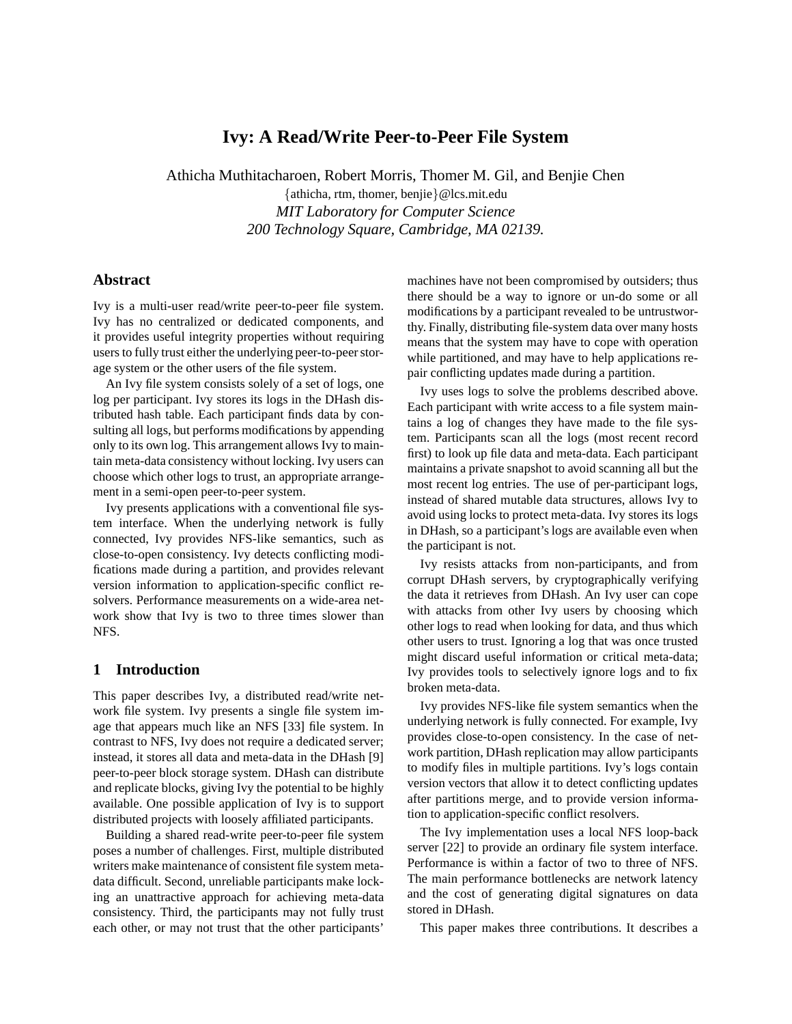# **Ivy: A Read/Write Peer-to-Peer File System**

Athicha Muthitacharoen, Robert Morris, Thomer M. Gil, and Benjie Chen

{athicha, rtm, thomer, benjie}@lcs.mit.edu *MIT Laboratory for Computer Science 200 Technology Square, Cambridge, MA 02139.*

### **Abstract**

Ivy is a multi-user read/write peer-to-peer file system. Ivy has no centralized or dedicated components, and it provides useful integrity properties without requiring users to fully trust either the underlying peer-to-peer storage system or the other users of the file system.

An Ivy file system consists solely of a set of logs, one log per participant. Ivy stores its logs in the DHash distributed hash table. Each participant finds data by consulting all logs, but performs modifications by appending only to its own log. This arrangement allows Ivy to maintain meta-data consistency without locking. Ivy users can choose which other logs to trust, an appropriate arrangement in a semi-open peer-to-peer system.

Ivy presents applications with a conventional file system interface. When the underlying network is fully connected, Ivy provides NFS-like semantics, such as close-to-open consistency. Ivy detects conflicting modifications made during a partition, and provides relevant version information to application-specific conflict resolvers. Performance measurements on a wide-area network show that Ivy is two to three times slower than NFS.

# **1 Introduction**

This paper describes Ivy, a distributed read/write network file system. Ivy presents a single file system image that appears much like an NFS [33] file system. In contrast to NFS, Ivy does not require a dedicated server; instead, it stores all data and meta-data in the DHash [9] peer-to-peer block storage system. DHash can distribute and replicate blocks, giving Ivy the potential to be highly available. One possible application of Ivy is to support distributed projects with loosely affiliated participants.

Building a shared read-write peer-to-peer file system poses a number of challenges. First, multiple distributed writers make maintenance of consistent file system metadata difficult. Second, unreliable participants make locking an unattractive approach for achieving meta-data consistency. Third, the participants may not fully trust each other, or may not trust that the other participants'

machines have not been compromised by outsiders; thus there should be a way to ignore or un-do some or all modifications by a participant revealed to be untrustworthy. Finally, distributing file-system data over many hosts means that the system may have to cope with operation while partitioned, and may have to help applications repair conflicting updates made during a partition.

Ivy uses logs to solve the problems described above. Each participant with write access to a file system maintains a log of changes they have made to the file system. Participants scan all the logs (most recent record first) to look up file data and meta-data. Each participant maintains a private snapshot to avoid scanning all but the most recent log entries. The use of per-participant logs, instead of shared mutable data structures, allows Ivy to avoid using locks to protect meta-data. Ivy stores its logs in DHash, so a participant's logs are available even when the participant is not.

Ivy resists attacks from non-participants, and from corrupt DHash servers, by cryptographically verifying the data it retrieves from DHash. An Ivy user can cope with attacks from other Ivy users by choosing which other logs to read when looking for data, and thus which other users to trust. Ignoring a log that was once trusted might discard useful information or critical meta-data; Ivy provides tools to selectively ignore logs and to fix broken meta-data.

Ivy provides NFS-like file system semantics when the underlying network is fully connected. For example, Ivy provides close-to-open consistency. In the case of network partition, DHash replication may allow participants to modify files in multiple partitions. Ivy's logs contain version vectors that allow it to detect conflicting updates after partitions merge, and to provide version information to application-specific conflict resolvers.

The Ivy implementation uses a local NFS loop-back server [22] to provide an ordinary file system interface. Performance is within a factor of two to three of NFS. The main performance bottlenecks are network latency and the cost of generating digital signatures on data stored in DHash.

This paper makes three contributions. It describes a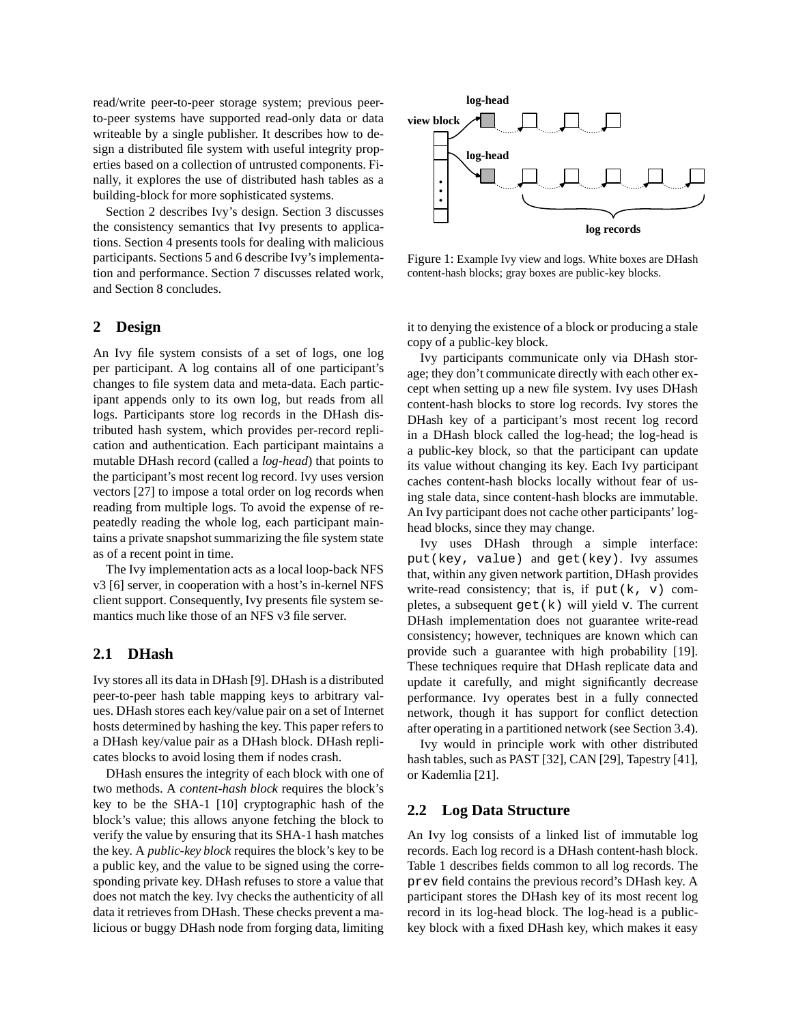read/write peer-to-peer storage system; previous peerto-peer systems have supported read-only data or data writeable by a single publisher. It describes how to design a distributed file system with useful integrity properties based on a collection of untrusted components. Finally, it explores the use of distributed hash tables as a building-block for more sophisticated systems.

Section 2 describes Ivy's design. Section 3 discusses the consistency semantics that Ivy presents to applications. Section 4 presents tools for dealing with malicious participants. Sections 5 and 6 describe Ivy's implementation and performance. Section 7 discusses related work, and Section 8 concludes.

### **2 Design**

An Ivy file system consists of a set of logs, one log per participant. A log contains all of one participant's changes to file system data and meta-data. Each participant appends only to its own log, but reads from all logs. Participants store log records in the DHash distributed hash system, which provides per-record replication and authentication. Each participant maintains a mutable DHash record (called a *log-head*) that points to the participant's most recent log record. Ivy uses version vectors [27] to impose a total order on log records when reading from multiple logs. To avoid the expense of repeatedly reading the whole log, each participant maintains a private snapshot summarizing the file system state as of a recent point in time.

The Ivy implementation acts as a local loop-back NFS v3 [6] server, in cooperation with a host's in-kernel NFS client support. Consequently, Ivy presents file system semantics much like those of an NFS v3 file server.

# **2.1 DHash**

Ivy stores all its data in DHash [9]. DHash is a distributed peer-to-peer hash table mapping keys to arbitrary values. DHash stores each key/value pair on a set of Internet hosts determined by hashing the key. This paper refers to a DHash key/value pair as a DHash block. DHash replicates blocks to avoid losing them if nodes crash.

DHash ensures the integrity of each block with one of two methods. A *content-hash block* requires the block's key to be the SHA-1 [10] cryptographic hash of the block's value; this allows anyone fetching the block to verify the value by ensuring that its SHA-1 hash matches the key. A *public-key block* requires the block's key to be a public key, and the value to be signed using the corresponding private key. DHash refuses to store a value that does not match the key. Ivy checks the authenticity of all data it retrieves from DHash. These checks prevent a malicious or buggy DHash node from forging data, limiting



Figure 1: Example Ivy view and logs. White boxes are DHash content-hash blocks; gray boxes are public-key blocks.

it to denying the existence of a block or producing a stale copy of a public-key block.

Ivy participants communicate only via DHash storage; they don't communicate directly with each other except when setting up a new file system. Ivy uses DHash content-hash blocks to store log records. Ivy stores the DHash key of a participant's most recent log record in a DHash block called the log-head; the log-head is a public-key block, so that the participant can update its value without changing its key. Each Ivy participant caches content-hash blocks locally without fear of using stale data, since content-hash blocks are immutable. An Ivy participant does not cache other participants' loghead blocks, since they may change.

Ivy uses DHash through a simple interface: put(key, value) and get(key). Ivy assumes that, within any given network partition, DHash provides write-read consistency; that is, if  $put(k, v)$  completes, a subsequent  $get(k)$  will yield v. The current DHash implementation does not guarantee write-read consistency; however, techniques are known which can provide such a guarantee with high probability [19]. These techniques require that DHash replicate data and update it carefully, and might significantly decrease performance. Ivy operates best in a fully connected network, though it has support for conflict detection after operating in a partitioned network (see Section 3.4).

Ivy would in principle work with other distributed hash tables, such as PAST [32], CAN [29], Tapestry [41], or Kademlia [21].

#### **2.2 Log Data Structure**

An Ivy log consists of a linked list of immutable log records. Each log record is a DHash content-hash block. Table 1 describes fields common to all log records. The prev field contains the previous record's DHash key. A participant stores the DHash key of its most recent log record in its log-head block. The log-head is a publickey block with a fixed DHash key, which makes it easy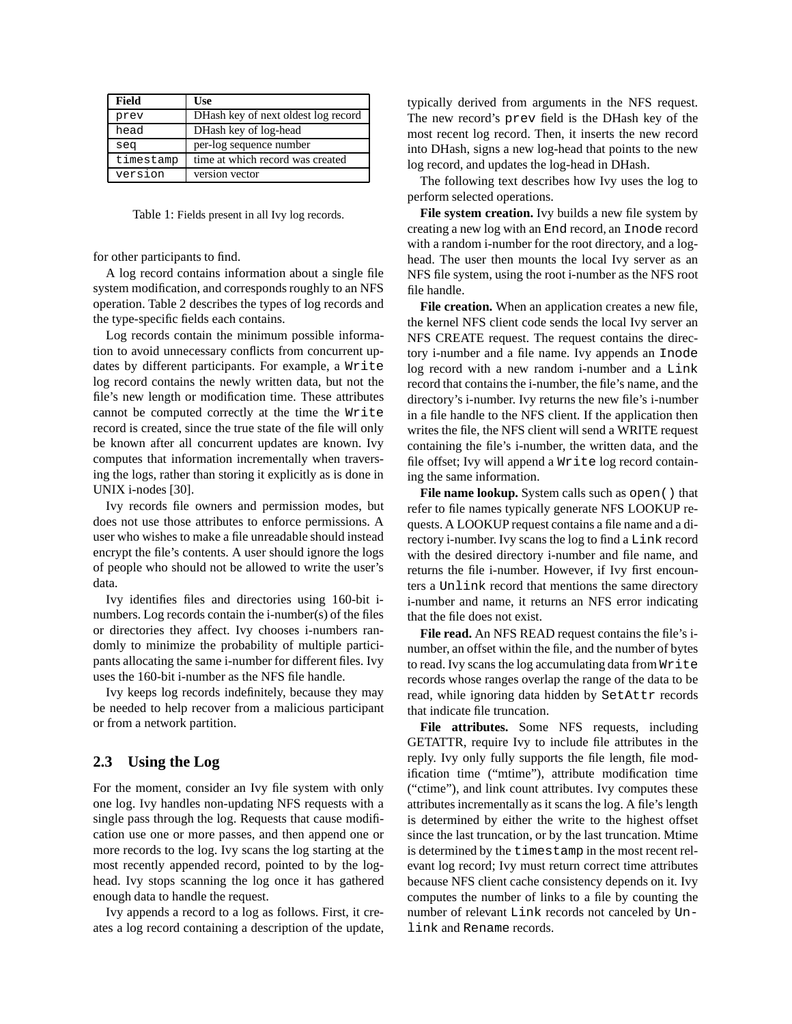| Field     | Use                                 |
|-----------|-------------------------------------|
| prev      | DHash key of next oldest log record |
| head      | DHash key of log-head               |
| seq       | per-log sequence number             |
| timestamp | time at which record was created    |
| version   | version vector                      |

Table 1: Fields present in all Ivy log records.

for other participants to find.

A log record contains information about a single file system modification, and corresponds roughly to an NFS operation. Table 2 describes the types of log records and the type-specific fields each contains.

Log records contain the minimum possible information to avoid unnecessary conflicts from concurrent updates by different participants. For example, a Write log record contains the newly written data, but not the file's new length or modification time. These attributes cannot be computed correctly at the time the Write record is created, since the true state of the file will only be known after all concurrent updates are known. Ivy computes that information incrementally when traversing the logs, rather than storing it explicitly as is done in UNIX i-nodes [30].

Ivy records file owners and permission modes, but does not use those attributes to enforce permissions. A user who wishes to make a file unreadable should instead encrypt the file's contents. A user should ignore the logs of people who should not be allowed to write the user's data.

Ivy identifies files and directories using 160-bit inumbers. Log records contain the i-number(s) of the files or directories they affect. Ivy chooses i-numbers randomly to minimize the probability of multiple participants allocating the same i-number for different files. Ivy uses the 160-bit i-number as the NFS file handle.

Ivy keeps log records indefinitely, because they may be needed to help recover from a malicious participant or from a network partition.

# **2.3 Using the Log**

For the moment, consider an Ivy file system with only one log. Ivy handles non-updating NFS requests with a single pass through the log. Requests that cause modification use one or more passes, and then append one or more records to the log. Ivy scans the log starting at the most recently appended record, pointed to by the loghead. Ivy stops scanning the log once it has gathered enough data to handle the request.

Ivy appends a record to a log as follows. First, it creates a log record containing a description of the update, typically derived from arguments in the NFS request. The new record's prev field is the DHash key of the most recent log record. Then, it inserts the new record into DHash, signs a new log-head that points to the new log record, and updates the log-head in DHash.

The following text describes how Ivy uses the log to perform selected operations.

**File system creation.** Ivy builds a new file system by creating a new log with an End record, an Inode record with a random i-number for the root directory, and a loghead. The user then mounts the local Ivy server as an NFS file system, using the root i-number as the NFS root file handle.

**File creation.** When an application creates a new file, the kernel NFS client code sends the local Ivy server an NFS CREATE request. The request contains the directory i-number and a file name. Ivy appends an Inode log record with a new random i-number and a Link record that contains the i-number, the file's name, and the directory's i-number. Ivy returns the new file's i-number in a file handle to the NFS client. If the application then writes the file, the NFS client will send a WRITE request containing the file's i-number, the written data, and the file offset; Ivy will append a Write log record containing the same information.

**File name lookup.** System calls such as open() that refer to file names typically generate NFS LOOKUP requests. A LOOKUP request contains a file name and a directory i-number. Ivy scans the log to find a Link record with the desired directory i-number and file name, and returns the file i-number. However, if Ivy first encounters a Unlink record that mentions the same directory i-number and name, it returns an NFS error indicating that the file does not exist.

**File read.** An NFS READ request contains the file's inumber, an offset within the file, and the number of bytes to read. Ivy scans the log accumulating data from Write records whose ranges overlap the range of the data to be read, while ignoring data hidden by SetAttr records that indicate file truncation.

**File attributes.** Some NFS requests, including GETATTR, require Ivy to include file attributes in the reply. Ivy only fully supports the file length, file modification time ("mtime"), attribute modification time ("ctime"), and link count attributes. Ivy computes these attributes incrementally as it scans the log. A file's length is determined by either the write to the highest offset since the last truncation, or by the last truncation. Mtime is determined by the timestamp in the most recent relevant log record; Ivy must return correct time attributes because NFS client cache consistency depends on it. Ivy computes the number of links to a file by counting the number of relevant Link records not canceled by Unlink and Rename records.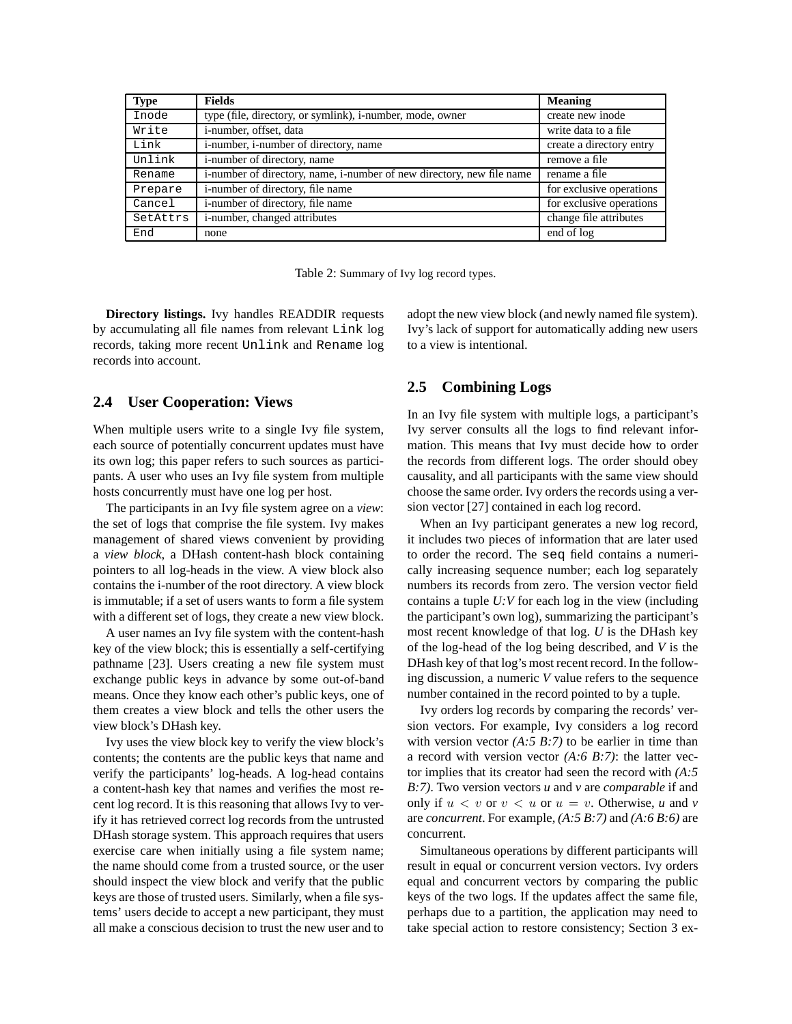| <b>Type</b> | <b>Fields</b>                                                         | <b>Meaning</b>           |
|-------------|-----------------------------------------------------------------------|--------------------------|
| Inode       | type (file, directory, or symlink), i-number, mode, owner             | create new inode         |
| Write       | i-number, offset, data                                                | write data to a file.    |
| Link        | i-number, i-number of directory, name                                 | create a directory entry |
| Unlink      | i-number of directory, name                                           | remove a file            |
| Rename      | i-number of directory, name, i-number of new directory, new file name | rename a file            |
| Prepare     | i-number of directory, file name                                      | for exclusive operations |
| Cancel      | i-number of directory, file name                                      | for exclusive operations |
| SetAttrs    | i-number, changed attributes                                          | change file attributes   |
| End         | none                                                                  | end of log               |

Table 2: Summary of Ivy log record types.

**Directory listings.** Ivy handles READDIR requests by accumulating all file names from relevant Link log records, taking more recent Unlink and Rename log records into account.

### **2.4 User Cooperation: Views**

When multiple users write to a single Ivy file system, each source of potentially concurrent updates must have its own log; this paper refers to such sources as participants. A user who uses an Ivy file system from multiple hosts concurrently must have one log per host.

The participants in an Ivy file system agree on a *view*: the set of logs that comprise the file system. Ivy makes management of shared views convenient by providing a *view block*, a DHash content-hash block containing pointers to all log-heads in the view. A view block also contains the i-number of the root directory. A view block is immutable; if a set of users wants to form a file system with a different set of logs, they create a new view block.

A user names an Ivy file system with the content-hash key of the view block; this is essentially a self-certifying pathname [23]. Users creating a new file system must exchange public keys in advance by some out-of-band means. Once they know each other's public keys, one of them creates a view block and tells the other users the view block's DHash key.

Ivy uses the view block key to verify the view block's contents; the contents are the public keys that name and verify the participants' log-heads. A log-head contains a content-hash key that names and verifies the most recent log record. It is this reasoning that allows Ivy to verify it has retrieved correct log records from the untrusted DHash storage system. This approach requires that users exercise care when initially using a file system name; the name should come from a trusted source, or the user should inspect the view block and verify that the public keys are those of trusted users. Similarly, when a file systems' users decide to accept a new participant, they must all make a conscious decision to trust the new user and to adopt the new view block (and newly named file system). Ivy's lack of support for automatically adding new users to a view is intentional.

### **2.5 Combining Logs**

In an Ivy file system with multiple logs, a participant's Ivy server consults all the logs to find relevant information. This means that Ivy must decide how to order the records from different logs. The order should obey causality, and all participants with the same view should choose the same order. Ivy orders the records using a version vector [27] contained in each log record.

When an Ivy participant generates a new log record, it includes two pieces of information that are later used to order the record. The seq field contains a numerically increasing sequence number; each log separately numbers its records from zero. The version vector field contains a tuple *U:V* for each log in the view (including the participant's own log), summarizing the participant's most recent knowledge of that log. *U* is the DHash key of the log-head of the log being described, and *V* is the DHash key of that log's most recent record. In the following discussion, a numeric *V* value refers to the sequence number contained in the record pointed to by a tuple.

Ivy orders log records by comparing the records' version vectors. For example, Ivy considers a log record with version vector  $(A:5 B:7)$  to be earlier in time than a record with version vector *(A:6 B:7)*: the latter vector implies that its creator had seen the record with *(A:5 B:7)*. Two version vectors *u* and *v* are *comparable* if and only if  $u < v$  or  $v < u$  or  $u = v$ . Otherwise, *u* and *v* are *concurrent*. For example, *(A:5 B:7)* and *(A:6 B:6)* are concurrent.

Simultaneous operations by different participants will result in equal or concurrent version vectors. Ivy orders equal and concurrent vectors by comparing the public keys of the two logs. If the updates affect the same file, perhaps due to a partition, the application may need to take special action to restore consistency; Section 3 ex-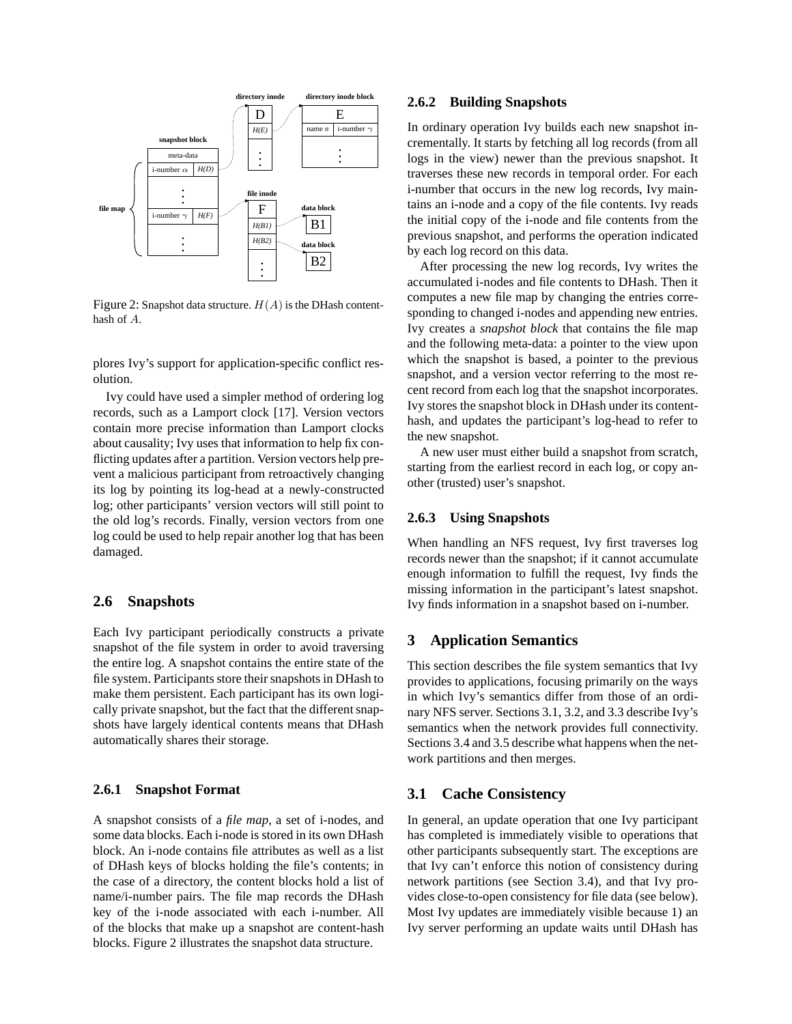

Figure 2: Snapshot data structure.  $H(A)$  is the DHash contenthash of A.

plores Ivy's support for application-specific conflict resolution.

Ivy could have used a simpler method of ordering log records, such as a Lamport clock [17]. Version vectors contain more precise information than Lamport clocks about causality; Ivy uses that information to help fix conflicting updates after a partition. Version vectors help prevent a malicious participant from retroactively changing its log by pointing its log-head at a newly-constructed log; other participants' version vectors will still point to the old log's records. Finally, version vectors from one log could be used to help repair another log that has been damaged.

#### **2.6 Snapshots**

Each Ivy participant periodically constructs a private snapshot of the file system in order to avoid traversing the entire log. A snapshot contains the entire state of the file system. Participants store their snapshots in DHash to make them persistent. Each participant has its own logically private snapshot, but the fact that the different snapshots have largely identical contents means that DHash automatically shares their storage.

#### **2.6.1 Snapshot Format**

A snapshot consists of a *file map*, a set of i-nodes, and some data blocks. Each i-node is stored in its own DHash block. An i-node contains file attributes as well as a list of DHash keys of blocks holding the file's contents; in the case of a directory, the content blocks hold a list of name/i-number pairs. The file map records the DHash key of the i-node associated with each i-number. All of the blocks that make up a snapshot are content-hash blocks. Figure 2 illustrates the snapshot data structure.

#### **2.6.2 Building Snapshots**

In ordinary operation Ivy builds each new snapshot incrementally. It starts by fetching all log records (from all logs in the view) newer than the previous snapshot. It traverses these new records in temporal order. For each i-number that occurs in the new log records, Ivy maintains an i-node and a copy of the file contents. Ivy reads the initial copy of the i-node and file contents from the previous snapshot, and performs the operation indicated by each log record on this data.

After processing the new log records, Ivy writes the accumulated i-nodes and file contents to DHash. Then it computes a new file map by changing the entries corresponding to changed i-nodes and appending new entries. Ivy creates a *snapshot block* that contains the file map and the following meta-data: a pointer to the view upon which the snapshot is based, a pointer to the previous snapshot, and a version vector referring to the most recent record from each log that the snapshot incorporates. Ivy stores the snapshot block in DHash under its contenthash, and updates the participant's log-head to refer to the new snapshot.

A new user must either build a snapshot from scratch, starting from the earliest record in each log, or copy another (trusted) user's snapshot.

#### **2.6.3 Using Snapshots**

When handling an NFS request, Ivy first traverses log records newer than the snapshot; if it cannot accumulate enough information to fulfill the request, Ivy finds the missing information in the participant's latest snapshot. Ivy finds information in a snapshot based on i-number.

### **3 Application Semantics**

This section describes the file system semantics that Ivy provides to applications, focusing primarily on the ways in which Ivy's semantics differ from those of an ordinary NFS server. Sections 3.1, 3.2, and 3.3 describe Ivy's semantics when the network provides full connectivity. Sections 3.4 and 3.5 describe what happens when the network partitions and then merges.

#### **3.1 Cache Consistency**

In general, an update operation that one Ivy participant has completed is immediately visible to operations that other participants subsequently start. The exceptions are that Ivy can't enforce this notion of consistency during network partitions (see Section 3.4), and that Ivy provides close-to-open consistency for file data (see below). Most Ivy updates are immediately visible because 1) an Ivy server performing an update waits until DHash has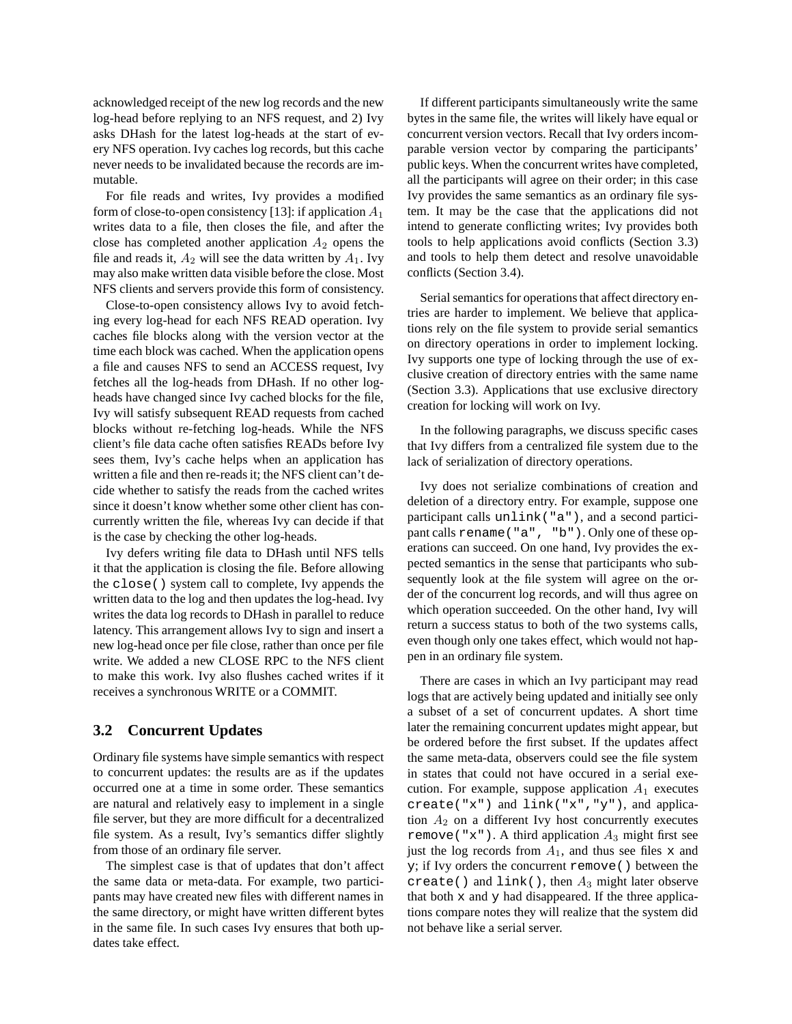acknowledged receipt of the new log records and the new log-head before replying to an NFS request, and 2) Ivy asks DHash for the latest log-heads at the start of every NFS operation. Ivy caches log records, but this cache never needs to be invalidated because the records are immutable.

For file reads and writes, Ivy provides a modified form of close-to-open consistency [13]: if application  $A_1$ writes data to a file, then closes the file, and after the close has completed another application  $A_2$  opens the file and reads it,  $A_2$  will see the data written by  $A_1$ . Ivy may also make written data visible before the close. Most NFS clients and servers provide this form of consistency.

Close-to-open consistency allows Ivy to avoid fetching every log-head for each NFS READ operation. Ivy caches file blocks along with the version vector at the time each block was cached. When the application opens a file and causes NFS to send an ACCESS request, Ivy fetches all the log-heads from DHash. If no other logheads have changed since Ivy cached blocks for the file, Ivy will satisfy subsequent READ requests from cached blocks without re-fetching log-heads. While the NFS client's file data cache often satisfies READs before Ivy sees them, Ivy's cache helps when an application has written a file and then re-readsit; the NFS client can't decide whether to satisfy the reads from the cached writes since it doesn't know whether some other client has concurrently written the file, whereas Ivy can decide if that is the case by checking the other log-heads.

Ivy defers writing file data to DHash until NFS tells it that the application is closing the file. Before allowing the close() system call to complete, Ivy appends the written data to the log and then updates the log-head. Ivy writes the data log records to DHash in parallel to reduce latency. This arrangement allows Ivy to sign and insert a new log-head once per file close, rather than once per file write. We added a new CLOSE RPC to the NFS client to make this work. Ivy also flushes cached writes if it receives a synchronous WRITE or a COMMIT.

# **3.2 Concurrent Updates**

Ordinary file systems have simple semantics with respect to concurrent updates: the results are as if the updates occurred one at a time in some order. These semantics are natural and relatively easy to implement in a single file server, but they are more difficult for a decentralized file system. As a result, Ivy's semantics differ slightly from those of an ordinary file server.

The simplest case is that of updates that don't affect the same data or meta-data. For example, two participants may have created new files with different names in the same directory, or might have written different bytes in the same file. In such cases Ivy ensures that both updates take effect.

If different participants simultaneously write the same bytes in the same file, the writes will likely have equal or concurrent version vectors. Recall that Ivy orders incomparable version vector by comparing the participants' public keys. When the concurrent writes have completed, all the participants will agree on their order; in this case Ivy provides the same semantics as an ordinary file system. It may be the case that the applications did not intend to generate conflicting writes; Ivy provides both tools to help applications avoid conflicts (Section 3.3) and tools to help them detect and resolve unavoidable conflicts (Section 3.4).

Serial semantics for operations that affect directory entries are harder to implement. We believe that applications rely on the file system to provide serial semantics on directory operations in order to implement locking. Ivy supports one type of locking through the use of exclusive creation of directory entries with the same name (Section 3.3). Applications that use exclusive directory creation for locking will work on Ivy.

In the following paragraphs, we discuss specific cases that Ivy differs from a centralized file system due to the lack of serialization of directory operations.

Ivy does not serialize combinations of creation and deletion of a directory entry. For example, suppose one participant calls unlink("a"), and a second participant calls rename("a", "b"). Only one of these operations can succeed. On one hand, Ivy provides the expected semantics in the sense that participants who subsequently look at the file system will agree on the order of the concurrent log records, and will thus agree on which operation succeeded. On the other hand, Ivy will return a success status to both of the two systems calls, even though only one takes effect, which would not happen in an ordinary file system.

There are cases in which an Ivy participant may read logs that are actively being updated and initially see only a subset of a set of concurrent updates. A short time later the remaining concurrent updates might appear, but be ordered before the first subset. If the updates affect the same meta-data, observers could see the file system in states that could not have occured in a serial execution. For example, suppose application  $A_1$  executes create("x") and link("x","y"), and application  $A_2$  on a different Ivy host concurrently executes remove ("x"). A third application  $A_3$  might first see just the log records from  $A_1$ , and thus see files x and y; if Ivy orders the concurrent remove() between the create() and  $link($ ), then  $A_3$  might later observe that both  $x$  and  $y$  had disappeared. If the three applications compare notes they will realize that the system did not behave like a serial server.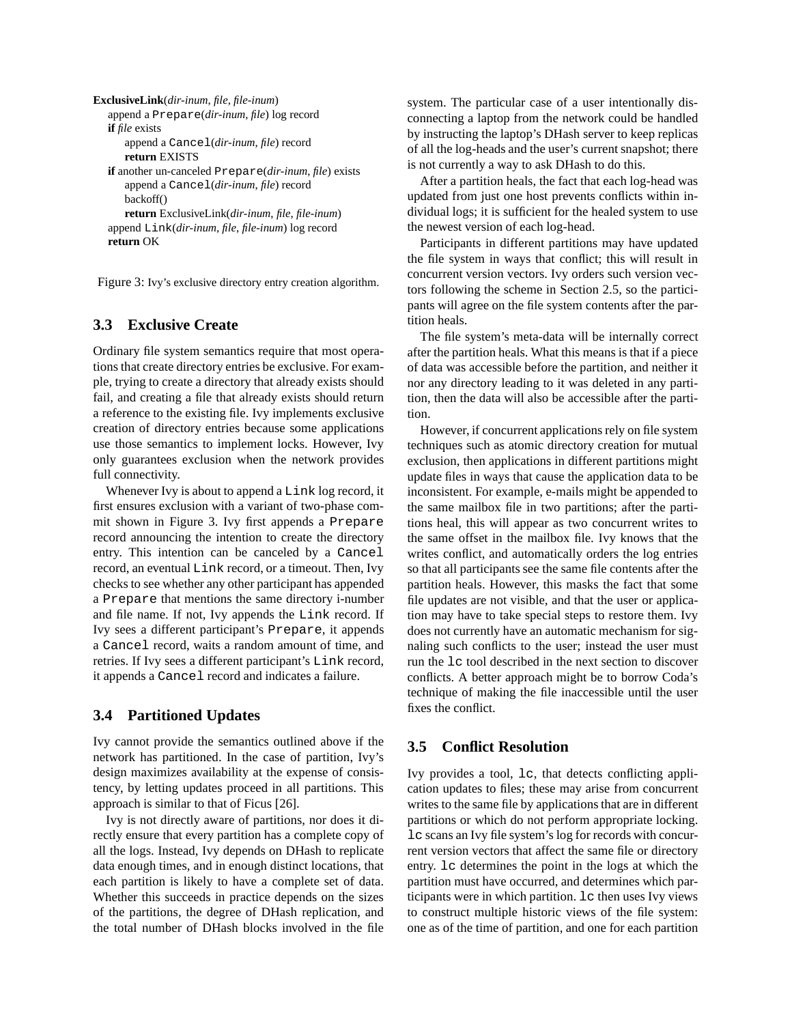```
ExclusiveLink(dir-inum, file, file-inum)
   append a Prepare(dir-inum, file) log record
   if file exists
      append a Cancel(dir-inum, file) record
      return EXISTS
   if another un-canceled Prepare(dir-inum, file) exists
      append a Cancel(dir-inum, file) record
      backoff()
      return ExclusiveLink(dir-inum, file, file-inum)
   append Link(dir-inum, file, file-inum) log record
   return OK
```
Figure 3: Ivy's exclusive directory entry creation algorithm.

# **3.3 Exclusive Create**

Ordinary file system semantics require that most operations that create directory entries be exclusive. For example, trying to create a directory that already exists should fail, and creating a file that already exists should return a reference to the existing file. Ivy implements exclusive creation of directory entries because some applications use those semantics to implement locks. However, Ivy only guarantees exclusion when the network provides full connectivity.

Whenever Ivy is about to append a Link log record, it first ensures exclusion with a variant of two-phase commit shown in Figure 3. Ivy first appends a Prepare record announcing the intention to create the directory entry. This intention can be canceled by a Cancel record, an eventual Link record, or a timeout. Then, Ivy checks to see whether any other participant has appended a Prepare that mentions the same directory i-number and file name. If not, Ivy appends the Link record. If Ivy sees a different participant's Prepare, it appends a Cancel record, waits a random amount of time, and retries. If Ivy sees a different participant's Link record, it appends a Cancel record and indicates a failure.

# **3.4 Partitioned Updates**

Ivy cannot provide the semantics outlined above if the network has partitioned. In the case of partition, Ivy's design maximizes availability at the expense of consistency, by letting updates proceed in all partitions. This approach is similar to that of Ficus [26].

Ivy is not directly aware of partitions, nor does it directly ensure that every partition has a complete copy of all the logs. Instead, Ivy depends on DHash to replicate data enough times, and in enough distinct locations, that each partition is likely to have a complete set of data. Whether this succeeds in practice depends on the sizes of the partitions, the degree of DHash replication, and the total number of DHash blocks involved in the file system. The particular case of a user intentionally disconnecting a laptop from the network could be handled by instructing the laptop's DHash server to keep replicas of all the log-heads and the user's current snapshot; there is not currently a way to ask DHash to do this.

After a partition heals, the fact that each log-head was updated from just one host prevents conflicts within individual logs; it is sufficient for the healed system to use the newest version of each log-head.

Participants in different partitions may have updated the file system in ways that conflict; this will result in concurrent version vectors. Ivy orders such version vectors following the scheme in Section 2.5, so the participants will agree on the file system contents after the partition heals.

The file system's meta-data will be internally correct after the partition heals. What this means is that if a piece of data was accessible before the partition, and neither it nor any directory leading to it was deleted in any partition, then the data will also be accessible after the partition.

However, if concurrent applications rely on file system techniques such as atomic directory creation for mutual exclusion, then applications in different partitions might update files in ways that cause the application data to be inconsistent. For example, e-mails might be appended to the same mailbox file in two partitions; after the partitions heal, this will appear as two concurrent writes to the same offset in the mailbox file. Ivy knows that the writes conflict, and automatically orders the log entries so that all participants see the same file contents after the partition heals. However, this masks the fact that some file updates are not visible, and that the user or application may have to take special steps to restore them. Ivy does not currently have an automatic mechanism for signaling such conflicts to the user; instead the user must run the lc tool described in the next section to discover conflicts. A better approach might be to borrow Coda's technique of making the file inaccessible until the user fixes the conflict.

# **3.5 Conflict Resolution**

Ivy provides a tool, lc, that detects conflicting application updates to files; these may arise from concurrent writes to the same file by applications that are in different partitions or which do not perform appropriate locking. lc scans an Ivy file system's log for records with concurrent version vectors that affect the same file or directory entry. lc determines the point in the logs at which the partition must have occurred, and determines which participants were in which partition. lc then uses Ivy views to construct multiple historic views of the file system: one as of the time of partition, and one for each partition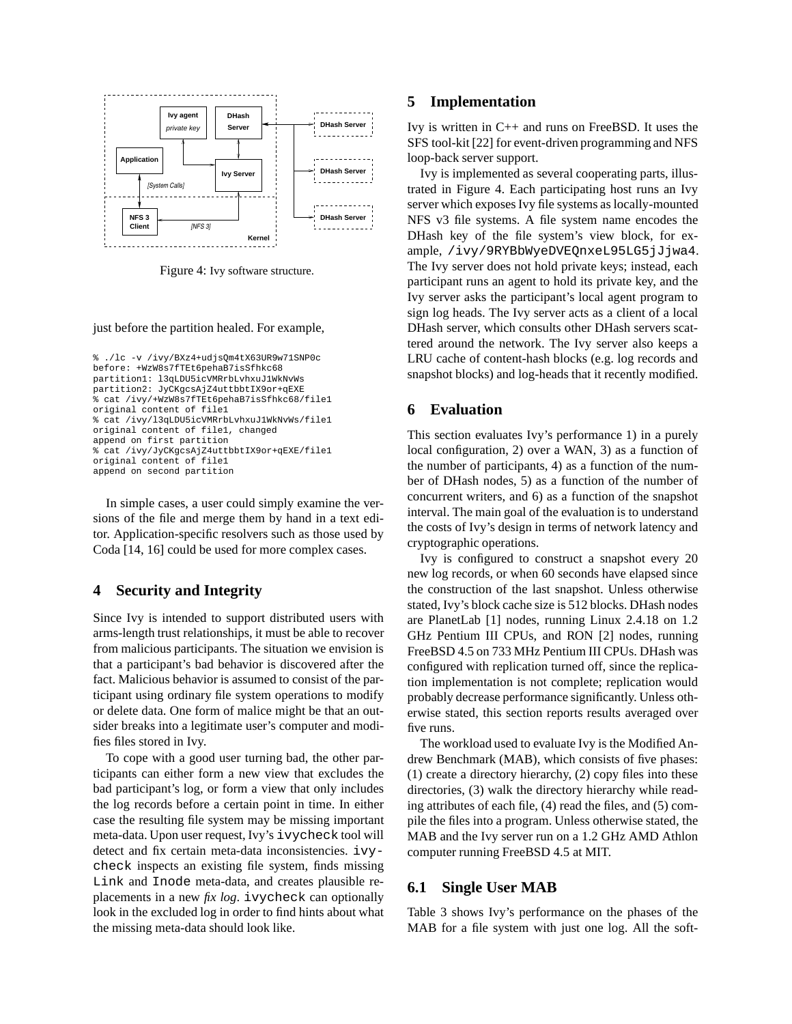

Figure 4: Ivy software structure.

just before the partition healed. For example,

```
% ./lc -v /ivy/BXz4+udjsQm4tX63UR9w71SNP0c
before: +WzW8s7fTEt6pehaB7isSfhkc68
partition1: l3qLDU5icVMRrbLvhxuJ1WkNvWs
partition2: JyCKgcsAjZ4uttbbtIX9or+qEXE
% cat /ivy/+WzW8s7fTEt6pehaB7isSfhkc68/file1
original content of file1
% cat /ivy/l3qLDU5icVMRrbLvhxuJ1WkNvWs/file1
original content of file1, changed
append on first partition
% cat /ivy/JyCKgcsAjZ4uttbbtIX9or+qEXE/file1
original content of file1
append on second partition
```
In simple cases, a user could simply examine the versions of the file and merge them by hand in a text editor. Application-specific resolvers such as those used by Coda [14, 16] could be used for more complex cases.

# **4 Security and Integrity**

Since Ivy is intended to support distributed users with arms-length trust relationships, it must be able to recover from malicious participants. The situation we envision is that a participant's bad behavior is discovered after the fact. Malicious behavior is assumed to consist of the participant using ordinary file system operations to modify or delete data. One form of malice might be that an outsider breaks into a legitimate user's computer and modifies files stored in Ivy.

To cope with a good user turning bad, the other participants can either form a new view that excludes the bad participant's log, or form a view that only includes the log records before a certain point in time. In either case the resulting file system may be missing important meta-data. Upon user request, Ivy's ivycheck tool will detect and fix certain meta-data inconsistencies. ivycheck inspects an existing file system, finds missing Link and Inode meta-data, and creates plausible replacements in a new *fix log*. ivycheck can optionally look in the excluded log in order to find hints about what the missing meta-data should look like.

#### **5 Implementation**

Ivy is written in C++ and runs on FreeBSD. It uses the SFS tool-kit [22] for event-driven programming and NFS loop-back server support.

Ivy is implemented as several cooperating parts, illustrated in Figure 4. Each participating host runs an Ivy server which exposesIvy file systems as locally-mounted NFS v3 file systems. A file system name encodes the DHash key of the file system's view block, for example, /ivy/9RYBbWyeDVEQnxeL95LG5jJjwa4. The Ivy server does not hold private keys; instead, each participant runs an agent to hold its private key, and the Ivy server asks the participant's local agent program to sign log heads. The Ivy server acts as a client of a local DHash server, which consults other DHash servers scattered around the network. The Ivy server also keeps a LRU cache of content-hash blocks (e.g. log records and snapshot blocks) and log-heads that it recently modified.

### **6 Evaluation**

This section evaluates Ivy's performance 1) in a purely local configuration, 2) over a WAN, 3) as a function of the number of participants, 4) as a function of the number of DHash nodes, 5) as a function of the number of concurrent writers, and 6) as a function of the snapshot interval. The main goal of the evaluation is to understand the costs of Ivy's design in terms of network latency and cryptographic operations.

Ivy is configured to construct a snapshot every 20 new log records, or when 60 seconds have elapsed since the construction of the last snapshot. Unless otherwise stated, Ivy's block cache size is 512 blocks. DHash nodes are PlanetLab [1] nodes, running Linux 2.4.18 on 1.2 GHz Pentium III CPUs, and RON [2] nodes, running FreeBSD 4.5 on 733 MHz Pentium III CPUs. DHash was configured with replication turned off, since the replication implementation is not complete; replication would probably decrease performance significantly. Unless otherwise stated, this section reports results averaged over five runs.

The workload used to evaluate Ivy is the Modified Andrew Benchmark (MAB), which consists of five phases: (1) create a directory hierarchy, (2) copy files into these directories, (3) walk the directory hierarchy while reading attributes of each file, (4) read the files, and (5) compile the files into a program. Unless otherwise stated, the MAB and the Ivy server run on a 1.2 GHz AMD Athlon computer running FreeBSD 4.5 at MIT.

#### **6.1 Single User MAB**

Table 3 shows Ivy's performance on the phases of the MAB for a file system with just one log. All the soft-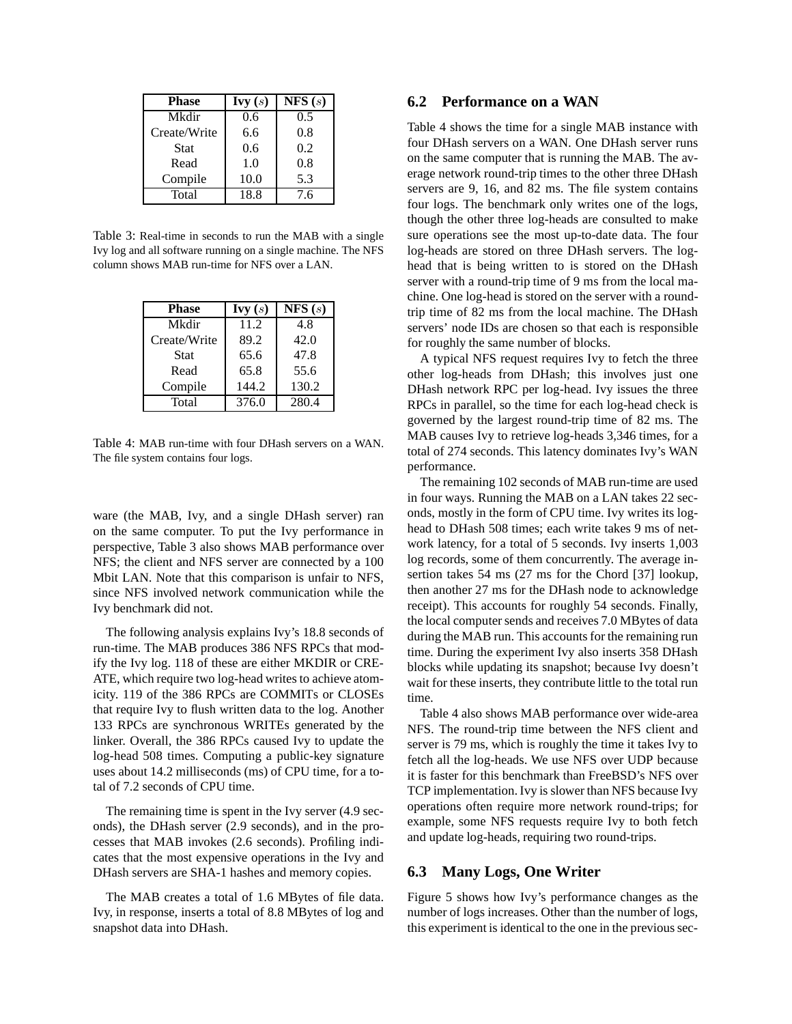| <b>Phase</b> | $\mathbf{I}$ vy $(s)$ | NFS(s) |
|--------------|-----------------------|--------|
| Mkdir        | 0.6                   | 0.5    |
| Create/Write | 6.6                   | 0.8    |
| <b>Stat</b>  | 0.6                   | 0.2    |
| Read         | 1.0                   | 0.8    |
| Compile      | 10.0                  | 5.3    |
| Total        | 18.8                  | 7.6    |

Table 3: Real-time in seconds to run the MAB with a single Ivy log and all software running on a single machine. The NFS column shows MAB run-time for NFS over a LAN.

| <b>Phase</b> | Ivy(s) | NFS(s) |
|--------------|--------|--------|
| Mkdir        | 11.2   | 4.8    |
| Create/Write | 89.2   | 42.0   |
| <b>Stat</b>  | 65.6   | 47.8   |
| Read         | 65.8   | 55.6   |
| Compile      | 144.2  | 130.2  |
| Total        | 376.0  | 280.4  |

Table 4: MAB run-time with four DHash servers on a WAN. The file system contains four logs.

ware (the MAB, Ivy, and a single DHash server) ran on the same computer. To put the Ivy performance in perspective, Table 3 also shows MAB performance over NFS; the client and NFS server are connected by a 100 Mbit LAN. Note that this comparison is unfair to NFS, since NFS involved network communication while the Ivy benchmark did not.

The following analysis explains Ivy's 18.8 seconds of run-time. The MAB produces 386 NFS RPCs that modify the Ivy log. 118 of these are either MKDIR or CRE-ATE, which require two log-head writes to achieve atomicity. 119 of the 386 RPCs are COMMITs or CLOSEs that require Ivy to flush written data to the log. Another 133 RPCs are synchronous WRITEs generated by the linker. Overall, the 386 RPCs caused Ivy to update the log-head 508 times. Computing a public-key signature uses about 14.2 milliseconds (ms) of CPU time, for a total of 7.2 seconds of CPU time.

The remaining time is spent in the Ivy server (4.9 seconds), the DHash server (2.9 seconds), and in the processes that MAB invokes (2.6 seconds). Profiling indicates that the most expensive operations in the Ivy and DHash servers are SHA-1 hashes and memory copies.

The MAB creates a total of 1.6 MBytes of file data. Ivy, in response, inserts a total of 8.8 MBytes of log and snapshot data into DHash.

#### **6.2 Performance on a WAN**

Table 4 shows the time for a single MAB instance with four DHash servers on a WAN. One DHash server runs on the same computer that is running the MAB. The average network round-trip times to the other three DHash servers are 9, 16, and 82 ms. The file system contains four logs. The benchmark only writes one of the logs, though the other three log-heads are consulted to make sure operations see the most up-to-date data. The four log-heads are stored on three DHash servers. The loghead that is being written to is stored on the DHash server with a round-trip time of 9 ms from the local machine. One log-head is stored on the server with a roundtrip time of 82 ms from the local machine. The DHash servers' node IDs are chosen so that each is responsible for roughly the same number of blocks.

A typical NFS request requires Ivy to fetch the three other log-heads from DHash; this involves just one DHash network RPC per log-head. Ivy issues the three RPCs in parallel, so the time for each log-head check is governed by the largest round-trip time of 82 ms. The MAB causes Ivy to retrieve log-heads 3,346 times, for a total of 274 seconds. This latency dominates Ivy's WAN performance.

The remaining 102 seconds of MAB run-time are used in four ways. Running the MAB on a LAN takes 22 seconds, mostly in the form of CPU time. Ivy writes its loghead to DHash 508 times; each write takes 9 ms of network latency, for a total of 5 seconds. Ivy inserts 1,003 log records, some of them concurrently. The average insertion takes 54 ms (27 ms for the Chord [37] lookup, then another 27 ms for the DHash node to acknowledge receipt). This accounts for roughly 54 seconds. Finally, the local computer sends and receives 7.0 MBytes of data during the MAB run. This accounts for the remaining run time. During the experiment Ivy also inserts 358 DHash blocks while updating its snapshot; because Ivy doesn't wait for these inserts, they contribute little to the total run time.

Table 4 also shows MAB performance over wide-area NFS. The round-trip time between the NFS client and server is 79 ms, which is roughly the time it takes Ivy to fetch all the log-heads. We use NFS over UDP because it is faster for this benchmark than FreeBSD's NFS over TCP implementation.Ivy is slower than NFS because Ivy operations often require more network round-trips; for example, some NFS requests require Ivy to both fetch and update log-heads, requiring two round-trips.

### **6.3 Many Logs, One Writer**

Figure 5 shows how Ivy's performance changes as the number of logs increases. Other than the number of logs, this experiment is identical to the one in the previous sec-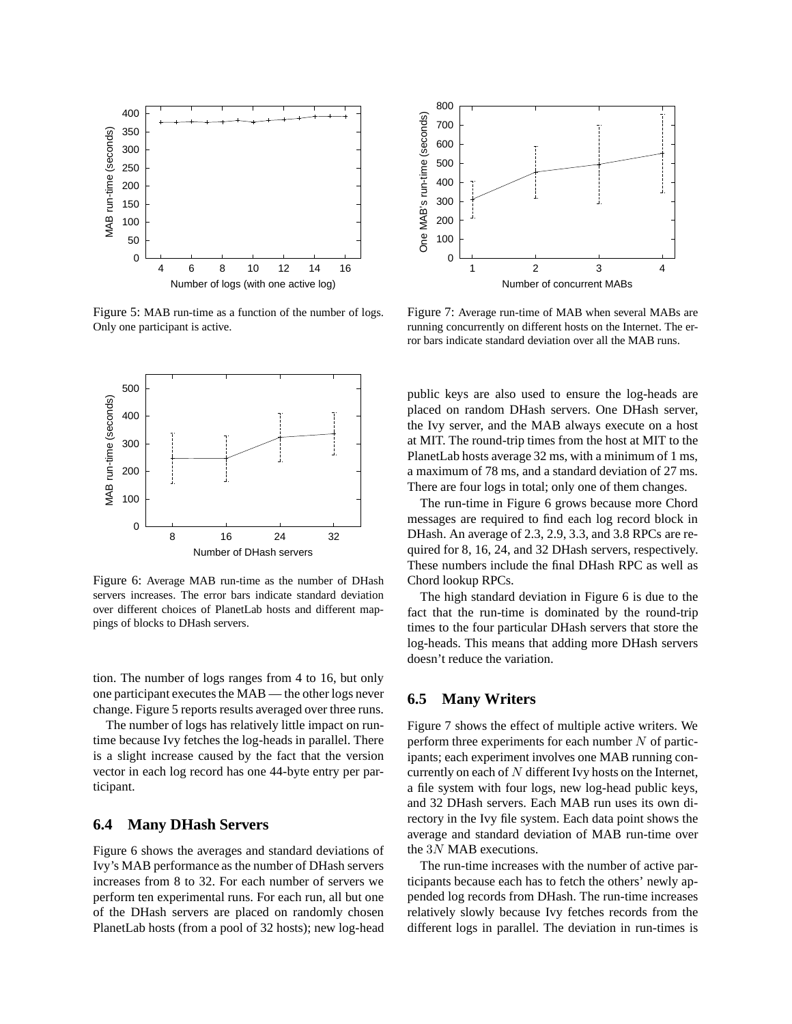

Figure 5: MAB run-time as a function of the number of logs. Only one participant is active.



Figure 6: Average MAB run-time as the number of DHash servers increases. The error bars indicate standard deviation over different choices of PlanetLab hosts and different mappings of blocks to DHash servers.

tion. The number of logs ranges from 4 to 16, but only one participant executes the MAB — the other logs never change. Figure 5 reports results averaged over three runs.

The number of logs has relatively little impact on runtime because Ivy fetches the log-heads in parallel. There is a slight increase caused by the fact that the version vector in each log record has one 44-byte entry per participant.

#### **6.4 Many DHash Servers**

Figure 6 shows the averages and standard deviations of Ivy's MAB performance as the number of DHash servers increases from 8 to 32. For each number of servers we perform ten experimental runs. For each run, all but one of the DHash servers are placed on randomly chosen PlanetLab hosts (from a pool of 32 hosts); new log-head



Figure 7: Average run-time of MAB when several MABs are running concurrently on different hosts on the Internet. The error bars indicate standard deviation over all the MAB runs.

public keys are also used to ensure the log-heads are placed on random DHash servers. One DHash server, the Ivy server, and the MAB always execute on a host at MIT. The round-trip times from the host at MIT to the PlanetLab hosts average 32 ms, with a minimum of 1 ms, a maximum of 78 ms, and a standard deviation of 27 ms. There are four logs in total; only one of them changes.

The run-time in Figure 6 grows because more Chord messages are required to find each log record block in DHash. An average of 2.3, 2.9, 3.3, and 3.8 RPCs are required for 8, 16, 24, and 32 DHash servers, respectively. These numbers include the final DHash RPC as well as Chord lookup RPCs.

The high standard deviation in Figure 6 is due to the fact that the run-time is dominated by the round-trip times to the four particular DHash servers that store the log-heads. This means that adding more DHash servers doesn't reduce the variation.

### **6.5 Many Writers**

Figure 7 shows the effect of multiple active writers. We perform three experiments for each number  $N$  of participants; each experiment involves one MAB running concurrently on each of  $N$  different Ivy hosts on the Internet, a file system with four logs, new log-head public keys, and 32 DHash servers. Each MAB run uses its own directory in the Ivy file system. Each data point shows the average and standard deviation of MAB run-time over the 3N MAB executions.

The run-time increases with the number of active participants because each has to fetch the others' newly appended log records from DHash. The run-time increases relatively slowly because Ivy fetches records from the different logs in parallel. The deviation in run-times is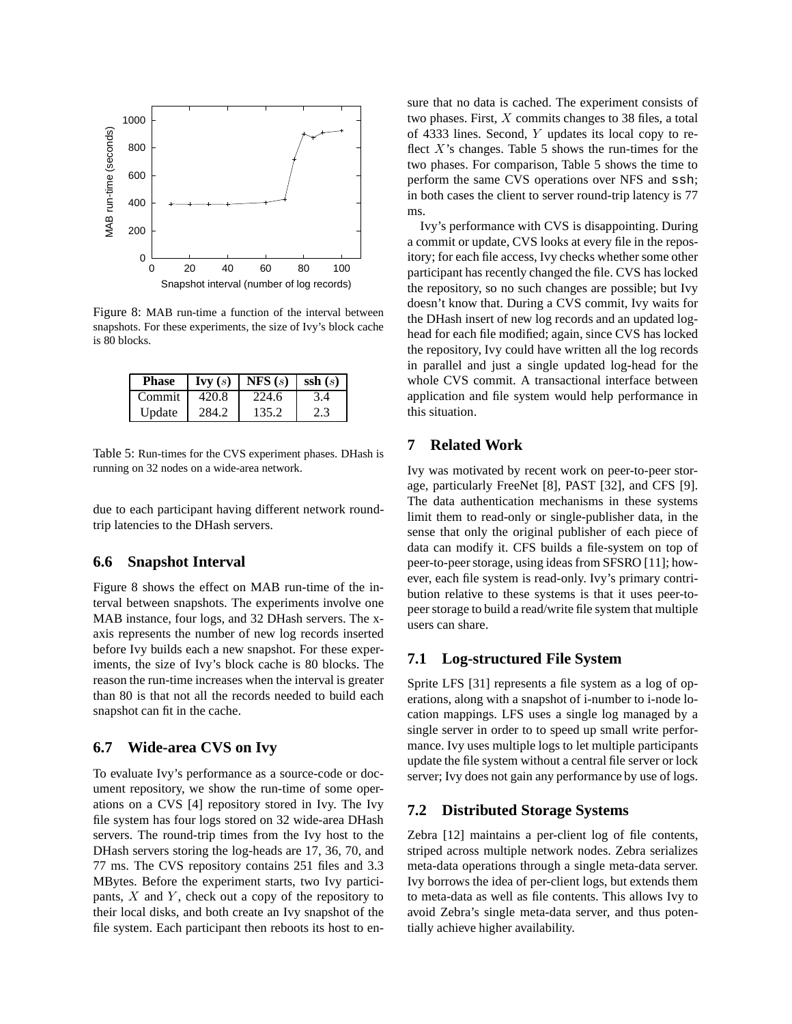

Figure 8: MAB run-time a function of the interval between snapshots. For these experiments, the size of Ivy's block cache is 80 blocks.

| <b>Phase</b> | $\mathbf{I}$ vy $(s)$ | NFS(s) | $\text{ssh}(s)$ |
|--------------|-----------------------|--------|-----------------|
| Commit       | 420.8                 | 224.6  | 3.4             |
| Update       | 284.2                 | 135.2  | 2.3             |

Table 5: Run-times for the CVS experiment phases. DHash is running on 32 nodes on a wide-area network.

due to each participant having different network roundtrip latencies to the DHash servers.

# **6.6 Snapshot Interval**

Figure 8 shows the effect on MAB run-time of the interval between snapshots. The experiments involve one MAB instance, four logs, and 32 DHash servers. The xaxis represents the number of new log records inserted before Ivy builds each a new snapshot. For these experiments, the size of Ivy's block cache is 80 blocks. The reason the run-time increases when the interval is greater than 80 is that not all the records needed to build each snapshot can fit in the cache.

### **6.7 Wide-area CVS on Ivy**

To evaluate Ivy's performance as a source-code or document repository, we show the run-time of some operations on a CVS [4] repository stored in Ivy. The Ivy file system has four logs stored on 32 wide-area DHash servers. The round-trip times from the Ivy host to the DHash servers storing the log-heads are 17, 36, 70, and 77 ms. The CVS repository contains 251 files and 3.3 MBytes. Before the experiment starts, two Ivy participants,  $X$  and  $Y$ , check out a copy of the repository to their local disks, and both create an Ivy snapshot of the file system. Each participant then reboots its host to ensure that no data is cached. The experiment consists of two phases. First, X commits changes to 38 files, a total of 4333 lines. Second, Y updates its local copy to reflect  $X$ 's changes. Table 5 shows the run-times for the two phases. For comparison, Table 5 shows the time to perform the same CVS operations over NFS and ssh; in both cases the client to server round-trip latency is 77 ms.

Ivy's performance with CVS is disappointing. During a commit or update, CVS looks at every file in the repository; for each file access, Ivy checks whether some other participant has recently changed the file. CVS has locked the repository, so no such changes are possible; but Ivy doesn't know that. During a CVS commit, Ivy waits for the DHash insert of new log records and an updated loghead for each file modified; again, since CVS has locked the repository, Ivy could have written all the log records in parallel and just a single updated log-head for the whole CVS commit. A transactional interface between application and file system would help performance in this situation.

### **7 Related Work**

Ivy was motivated by recent work on peer-to-peer storage, particularly FreeNet [8], PAST [32], and CFS [9]. The data authentication mechanisms in these systems limit them to read-only or single-publisher data, in the sense that only the original publisher of each piece of data can modify it. CFS builds a file-system on top of peer-to-peer storage, using ideas from SFSRO [11]; however, each file system is read-only. Ivy's primary contribution relative to these systems is that it uses peer-topeer storage to build a read/write file system that multiple users can share.

#### **7.1 Log-structured File System**

Sprite LFS [31] represents a file system as a log of operations, along with a snapshot of i-number to i-node location mappings. LFS uses a single log managed by a single server in order to to speed up small write performance. Ivy uses multiple logs to let multiple participants update the file system without a central file server or lock server; Ivy does not gain any performance by use of logs.

# **7.2 Distributed Storage Systems**

Zebra [12] maintains a per-client log of file contents, striped across multiple network nodes. Zebra serializes meta-data operations through a single meta-data server. Ivy borrows the idea of per-client logs, but extends them to meta-data as well as file contents. This allows Ivy to avoid Zebra's single meta-data server, and thus potentially achieve higher availability.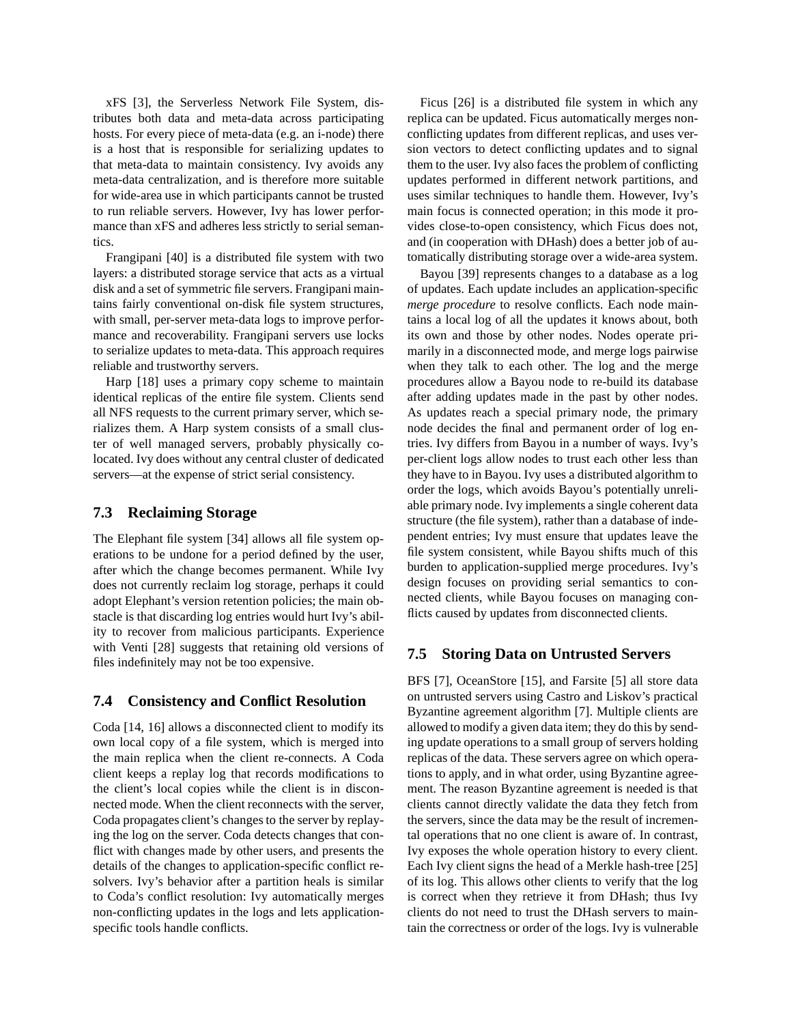xFS [3], the Serverless Network File System, distributes both data and meta-data across participating hosts. For every piece of meta-data (e.g. an i-node) there is a host that is responsible for serializing updates to that meta-data to maintain consistency. Ivy avoids any meta-data centralization, and is therefore more suitable for wide-area use in which participants cannot be trusted to run reliable servers. However, Ivy has lower performance than xFS and adheres less strictly to serial semantics.

Frangipani [40] is a distributed file system with two layers: a distributed storage service that acts as a virtual disk and a set of symmetric file servers. Frangipani maintains fairly conventional on-disk file system structures, with small, per-server meta-data logs to improve performance and recoverability. Frangipani servers use locks to serialize updates to meta-data. This approach requires reliable and trustworthy servers.

Harp [18] uses a primary copy scheme to maintain identical replicas of the entire file system. Clients send all NFS requests to the current primary server, which serializes them. A Harp system consists of a small cluster of well managed servers, probably physically colocated. Ivy does without any central cluster of dedicated servers—at the expense of strict serial consistency.

### **7.3 Reclaiming Storage**

The Elephant file system [34] allows all file system operations to be undone for a period defined by the user, after which the change becomes permanent. While Ivy does not currently reclaim log storage, perhaps it could adopt Elephant's version retention policies; the main obstacle is that discarding log entries would hurt Ivy's ability to recover from malicious participants. Experience with Venti [28] suggests that retaining old versions of files indefinitely may not be too expensive.

# **7.4 Consistency and Conflict Resolution**

Coda [14, 16] allows a disconnected client to modify its own local copy of a file system, which is merged into the main replica when the client re-connects. A Coda client keeps a replay log that records modifications to the client's local copies while the client is in disconnected mode. When the client reconnects with the server, Coda propagates client's changes to the server by replaying the log on the server. Coda detects changes that conflict with changes made by other users, and presents the details of the changes to application-specific conflict resolvers. Ivy's behavior after a partition heals is similar to Coda's conflict resolution: Ivy automatically merges non-conflicting updates in the logs and lets applicationspecific tools handle conflicts.

Ficus [26] is a distributed file system in which any replica can be updated. Ficus automatically merges nonconflicting updates from different replicas, and uses version vectors to detect conflicting updates and to signal them to the user. Ivy also faces the problem of conflicting updates performed in different network partitions, and uses similar techniques to handle them. However, Ivy's main focus is connected operation; in this mode it provides close-to-open consistency, which Ficus does not, and (in cooperation with DHash) does a better job of automatically distributing storage over a wide-area system.

Bayou [39] represents changes to a database as a log of updates. Each update includes an application-specific *merge procedure* to resolve conflicts. Each node maintains a local log of all the updates it knows about, both its own and those by other nodes. Nodes operate primarily in a disconnected mode, and merge logs pairwise when they talk to each other. The log and the merge procedures allow a Bayou node to re-build its database after adding updates made in the past by other nodes. As updates reach a special primary node, the primary node decides the final and permanent order of log entries. Ivy differs from Bayou in a number of ways. Ivy's per-client logs allow nodes to trust each other less than they have to in Bayou. Ivy uses a distributed algorithm to order the logs, which avoids Bayou's potentially unreliable primary node. Ivy implements a single coherent data structure (the file system), rather than a database of independent entries; Ivy must ensure that updates leave the file system consistent, while Bayou shifts much of this burden to application-supplied merge procedures. Ivy's design focuses on providing serial semantics to connected clients, while Bayou focuses on managing conflicts caused by updates from disconnected clients.

# **7.5 Storing Data on Untrusted Servers**

BFS [7], OceanStore [15], and Farsite [5] all store data on untrusted servers using Castro and Liskov's practical Byzantine agreement algorithm [7]. Multiple clients are allowed to modify a given data item; they do this by sending update operations to a small group of servers holding replicas of the data. These servers agree on which operations to apply, and in what order, using Byzantine agreement. The reason Byzantine agreement is needed is that clients cannot directly validate the data they fetch from the servers, since the data may be the result of incremental operations that no one client is aware of. In contrast, Ivy exposes the whole operation history to every client. Each Ivy client signs the head of a Merkle hash-tree [25] of its log. This allows other clients to verify that the log is correct when they retrieve it from DHash; thus Ivy clients do not need to trust the DHash servers to maintain the correctness or order of the logs. Ivy is vulnerable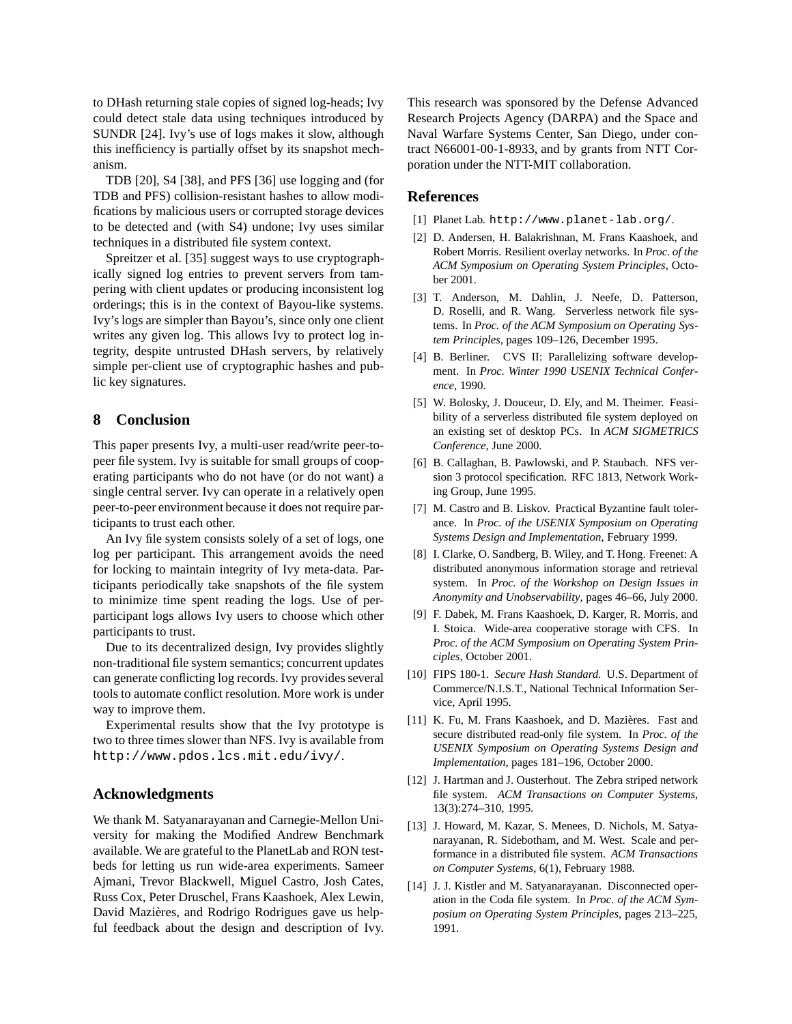to DHash returning stale copies of signed log-heads; Ivy could detect stale data using techniques introduced by SUNDR [24]. Ivy's use of logs makes it slow, although this inefficiency is partially offset by its snapshot mechanism.

TDB [20], S4 [38], and PFS [36] use logging and (for TDB and PFS) collision-resistant hashes to allow modifications by malicious users or corrupted storage devices to be detected and (with S4) undone; Ivy uses similar techniques in a distributed file system context.

Spreitzer et al. [35] suggest ways to use cryptographically signed log entries to prevent servers from tampering with client updates or producing inconsistent log orderings; this is in the context of Bayou-like systems. Ivy's logs are simpler than Bayou's, since only one client writes any given log. This allows Ivy to protect log integrity, despite untrusted DHash servers, by relatively simple per-client use of cryptographic hashes and public key signatures.

### **8 Conclusion**

This paper presents Ivy, a multi-user read/write peer-topeer file system. Ivy is suitable for small groups of cooperating participants who do not have (or do not want) a single central server. Ivy can operate in a relatively open peer-to-peer environment because it does not require participants to trust each other.

An Ivy file system consists solely of a set of logs, one log per participant. This arrangement avoids the need for locking to maintain integrity of Ivy meta-data. Participants periodically take snapshots of the file system to minimize time spent reading the logs. Use of perparticipant logs allows Ivy users to choose which other participants to trust.

Due to its decentralized design, Ivy provides slightly non-traditional file system semantics; concurrent updates can generate conflicting log records. Ivy provides several tools to automate conflict resolution. More work is under way to improve them.

Experimental results show that the Ivy prototype is two to three times slower than NFS. Ivy is available from http://www.pdos.lcs.mit.edu/ivy/.

#### **Acknowledgments**

We thank M. Satyanarayanan and Carnegie-Mellon University for making the Modified Andrew Benchmark available. We are grateful to the PlanetLab and RON testbeds for letting us run wide-area experiments. Sameer Ajmani, Trevor Blackwell, Miguel Castro, Josh Cates, Russ Cox, Peter Druschel, Frans Kaashoek, Alex Lewin, David Mazières, and Rodrigo Rodrigues gave us helpful feedback about the design and description of Ivy. This research was sponsored by the Defense Advanced Research Projects Agency (DARPA) and the Space and Naval Warfare Systems Center, San Diego, under contract N66001-00-1-8933, and by grants from NTT Corporation under the NTT-MIT collaboration.

#### **References**

- [1] Planet Lab. http://www.planet-lab.org/.
- [2] D. Andersen, H. Balakrishnan, M. Frans Kaashoek, and Robert Morris. Resilient overlay networks. In *Proc. of the ACM Symposium on Operating System Principles*, October 2001.
- [3] T. Anderson, M. Dahlin, J. Neefe, D. Patterson, D. Roselli, and R. Wang. Serverless network file systems. In *Proc. of the ACM Symposium on Operating System Principles*, pages 109–126, December 1995.
- [4] B. Berliner. CVS II: Parallelizing software development. In *Proc. Winter 1990 USENIX Technical Conference*, 1990.
- [5] W. Bolosky, J. Douceur, D. Ely, and M. Theimer. Feasibility of a serverless distributed file system deployed on an existing set of desktop PCs. In *ACM SIGMETRICS Conference*, June 2000.
- [6] B. Callaghan, B. Pawlowski, and P. Staubach. NFS version 3 protocol specification. RFC 1813, Network Working Group, June 1995.
- [7] M. Castro and B. Liskov. Practical Byzantine fault tolerance. In *Proc. of the USENIX Symposium on Operating Systems Design and Implementation*, February 1999.
- [8] I. Clarke, O. Sandberg, B. Wiley, and T. Hong. Freenet: A distributed anonymous information storage and retrieval system. In *Proc. of the Workshop on Design Issues in Anonymity and Unobservability*, pages 46–66, July 2000.
- [9] F. Dabek, M. Frans Kaashoek, D. Karger, R. Morris, and I. Stoica. Wide-area cooperative storage with CFS. In *Proc. of the ACM Symposium on Operating System Principles*, October 2001.
- [10] FIPS 180-1. *Secure Hash Standard*. U.S. Department of Commerce/N.I.S.T., National Technical Information Service, April 1995.
- [11] K. Fu, M. Frans Kaashoek, and D. Mazières. Fast and secure distributed read-only file system. In *Proc. of the USENIX Symposium on Operating Systems Design and Implementation*, pages 181–196, October 2000.
- [12] J. Hartman and J. Ousterhout. The Zebra striped network file system. *ACM Transactions on Computer Systems*, 13(3):274–310, 1995.
- [13] J. Howard, M. Kazar, S. Menees, D. Nichols, M. Satyanarayanan, R. Sidebotham, and M. West. Scale and performance in a distributed file system. *ACM Transactions on Computer Systems*, 6(1), February 1988.
- [14] J. J. Kistler and M. Satyanarayanan. Disconnected operation in the Coda file system. In *Proc. of the ACM Symposium on Operating System Principles*, pages 213–225, 1991.